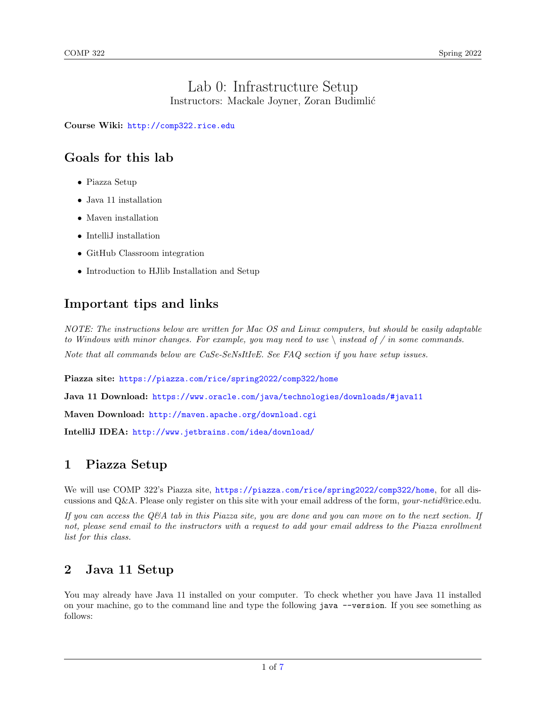#### Lab 0: Infrastructure Setup Instructors: Mackale Joyner, Zoran Budimlić

Course Wiki: <http://comp322.rice.edu>

## Goals for this lab

- Piazza Setup
- Java 11 installation
- Maven installation
- IntelliJ installation
- GitHub Classroom integration
- Introduction to HJlib Installation and Setup

# Important tips and links

NOTE: The instructions below are written for Mac OS and Linux computers, but should be easily adaptable to Windows with minor changes. For example, you may need to use  $\setminus$  instead of / in some commands. Note that all commands below are CaSe-SeNsItIvE. See FAQ section if you have setup issues.

Piazza site: <https://piazza.com/rice/spring2022/comp322/home>

Java 11 Download: <https://www.oracle.com/java/technologies/downloads/#java11>

Maven Download: <http://maven.apache.org/download.cgi>

IntelliJ IDEA: <http://www.jetbrains.com/idea/download/>

## 1 Piazza Setup

We will use COMP 322's Piazza site, <https://piazza.com/rice/spring2022/comp322/home>, for all discussions and Q&A. Please only register on this site with your email address of the form, your-netid@rice.edu.

If you can access the Q&A tab in this Piazza site, you are done and you can move on to the next section. If not, please send email to the instructors with a request to add your email address to the Piazza enrollment list for this class.

### 2 Java 11 Setup

You may already have Java 11 installed on your computer. To check whether you have Java 11 installed on your machine, go to the command line and type the following java --version. If you see something as follows: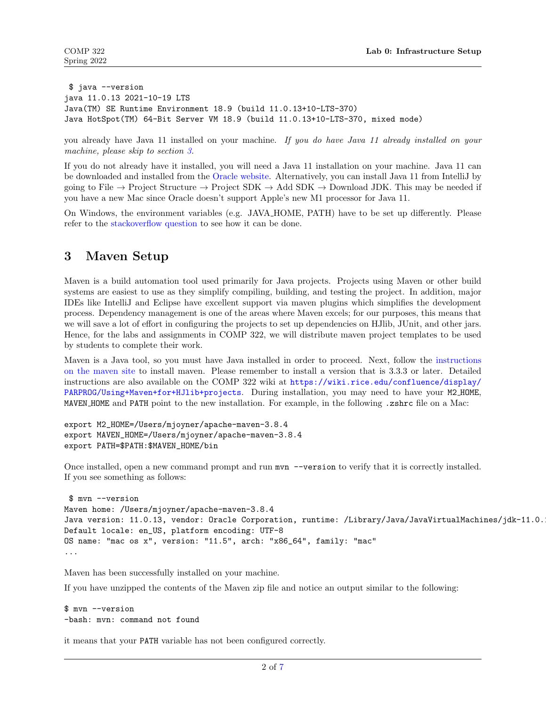```
$ java --version
java 11.0.13 2021-10-19 LTS
Java(TM) SE Runtime Environment 18.9 (build 11.0.13+10-LTS-370)
Java HotSpot(TM) 64-Bit Server VM 18.9 (build 11.0.13+10-LTS-370, mixed mode)
```
you already have Java 11 installed on your machine. If you do have Java 11 already installed on your machine, please skip to section [3.](#page-1-0)

If you do not already have it installed, you will need a Java 11 installation on your machine. Java 11 can be downloaded and installed from the [Oracle website.](https://www.oracle.com/java/technologies/downloads/#java11) Alternatively, you can install Java 11 from IntelliJ by going to File  $\rightarrow$  Project Structure  $\rightarrow$  Project SDK  $\rightarrow$  Add SDK  $\rightarrow$  Download JDK. This may be needed if you have a new Mac since Oracle doesn't support Apple's new M1 processor for Java 11.

On Windows, the environment variables (e.g. JAVA HOME, PATH) have to be set up differently. Please refer to the [stackoverflow question](http://stackoverflow.com/questions/2619584/how-to-set-java-home-on-windows-7) to see how it can be done.

#### <span id="page-1-0"></span>3 Maven Setup

Maven is a build automation tool used primarily for Java projects. Projects using Maven or other build systems are easiest to use as they simplify compiling, building, and testing the project. In addition, major IDEs like IntelliJ and Eclipse have excellent support via maven plugins which simplifies the development process. Dependency management is one of the areas where Maven excels; for our purposes, this means that we will save a lot of effort in configuring the projects to set up dependencies on HJlib, JUnit, and other jars. Hence, for the labs and assignments in COMP 322, we will distribute maven project templates to be used by students to complete their work.

Maven is a Java tool, so you must have Java installed in order to proceed. Next, follow the [instructions](http://maven.apache.org/download.cgi#Installation) [on the maven site](http://maven.apache.org/download.cgi#Installation) to install maven. Please remember to install a version that is 3.3.3 or later. Detailed instructions are also available on the COMP 322 wiki at [https://wiki.rice.edu/confluence/display/](https://wiki.rice.edu/confluence/display/PARPROG/Using+Maven+for+HJlib+projects) [PARPROG/Using+Maven+for+HJlib+projects](https://wiki.rice.edu/confluence/display/PARPROG/Using+Maven+for+HJlib+projects). During installation, you may need to have your M2 HOME, MAVEN HOME and PATH point to the new installation. For example, in the following .zshrc file on a Mac:

```
export M2_HOME=/Users/mjoyner/apache-maven-3.8.4
export MAVEN_HOME=/Users/mjoyner/apache-maven-3.8.4
export PATH=$PATH:$MAVEN_HOME/bin
```
Once installed, open a new command prompt and run  $m \nu n$  -version to verify that it is correctly installed. If you see something as follows:

```
$ mvn --version
Maven home: /Users/mjoyner/apache-maven-3.8.4
Java version: 11.0.13, vendor: Oracle Corporation, runtime: /Library/Java/JavaVirtualMachines/jdk-11.0.
Default locale: en_US, platform encoding: UTF-8
OS name: "mac os x", version: "11.5", arch: "x86_64", family: "mac"
...
```
Maven has been successfully installed on your machine.

If you have unzipped the contents of the Maven zip file and notice an output similar to the following:

```
$ mvn --version
-bash: mvn: command not found
```
it means that your PATH variable has not been configured correctly.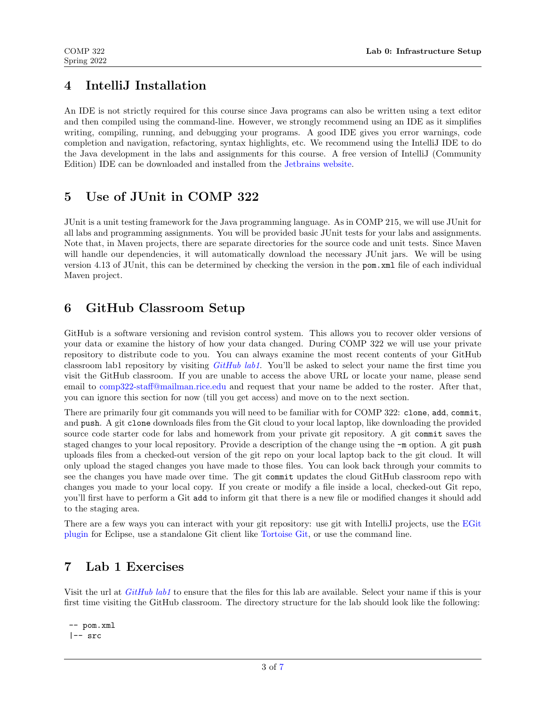#### 4 IntelliJ Installation

An IDE is not strictly required for this course since Java programs can also be written using a text editor and then compiled using the command-line. However, we strongly recommend using an IDE as it simplifies writing, compiling, running, and debugging your programs. A good IDE gives you error warnings, code completion and navigation, refactoring, syntax highlights, etc. We recommend using the IntelliJ IDE to do the Java development in the labs and assignments for this course. A free version of IntelliJ (Community Edition) IDE can be downloaded and installed from the [Jetbrains website.](https://www.jetbrains.com/idea/download/)

#### 5 Use of JUnit in COMP 322

JUnit is a unit testing framework for the Java programming language. As in COMP 215, we will use JUnit for all labs and programming assignments. You will be provided basic JUnit tests for your labs and assignments. Note that, in Maven projects, there are separate directories for the source code and unit tests. Since Maven will handle our dependencies, it will automatically download the necessary JUnit jars. We will be using version 4.13 of JUnit, this can be determined by checking the version in the pom.xml file of each individual Maven project.

## 6 GitHub Classroom Setup

GitHub is a software versioning and revision control system. This allows you to recover older versions of your data or examine the history of how your data changed. During COMP 322 we will use your private repository to distribute code to you. You can always examine the most recent contents of your GitHub classroom lab1 repository by visiting  $GitHub lab1$ . You'll be asked to select your name the first time you visit the GitHub classroom. If you are unable to access the above URL or locate your name, please send email to [comp322-staff@mailman.rice.edu](mailto:comp322-staff@mailman.rice.edu) and request that your name be added to the roster. After that, you can ignore this section for now (till you get access) and move on to the next section.

There are primarily four git commands you will need to be familiar with for COMP 322: clone, add, commit, and push. A git clone downloads files from the Git cloud to your local laptop, like downloading the provided source code starter code for labs and homework from your private git repository. A git commit saves the staged changes to your local repository. Provide a description of the change using the -m option. A git push uploads files from a checked-out version of the git repo on your local laptop back to the git cloud. It will only upload the staged changes you have made to those files. You can look back through your commits to see the changes you have made over time. The git commit updates the cloud GitHub classroom repo with changes you made to your local copy. If you create or modify a file inside a local, checked-out Git repo, you'll first have to perform a Git add to inform git that there is a new file or modified changes it should add to the staging area.

There are a few ways you can interact with your git repository: use git with IntelliJ projects, use the [EGit](https://www.eclipse.org/egit/download/) [plugin](https://www.eclipse.org/egit/download/) for Eclipse, use a standalone Git client like [Tortoise Git,](https://tortoisegit.net/) or use the command line.

### 7 Lab 1 Exercises

Visit the url at *[GitHub lab1](https://classroom.github.com/a/x5iLbye7)* to ensure that the files for this lab are available. Select your name if this is your first time visiting the GitHub classroom. The directory structure for the lab should look like the following:

```
-- pom.xml
|-- src
```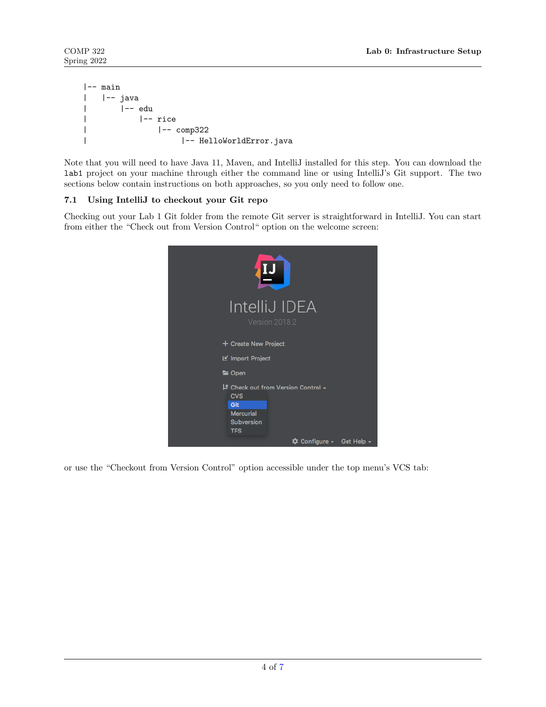```
|-- main
| |-- java
| |-- edu
| |-- rice
| |-- comp322
| |-- HelloWorldError.java
```
Note that you will need to have Java 11, Maven, and IntelliJ installed for this step. You can download the lab1 project on your machine through either the command line or using IntelliJ's Git support. The two sections below contain instructions on both approaches, so you only need to follow one.

#### 7.1 Using IntelliJ to checkout your Git repo

Checking out your Lab 1 Git folder from the remote Git server is straightforward in IntelliJ. You can start from either the "Check out from Version Control" option on the welcome screen:



or use the "Checkout from Version Control" option accessible under the top menu's VCS tab: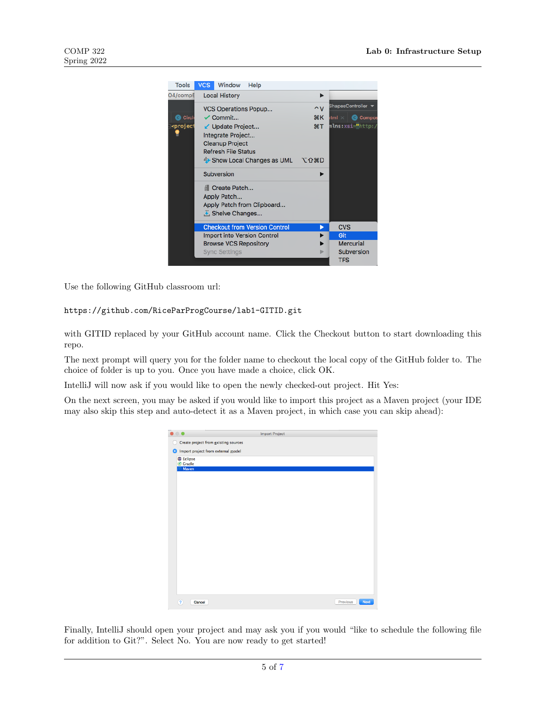

Use the following GitHub classroom url:

https://github.com/RiceParProgCourse/lab1-GITID.git

with GITID replaced by your GitHub account name. Click the Checkout button to start downloading this repo.

The next prompt will query you for the folder name to checkout the local copy of the GitHub folder to. The choice of folder is up to you. Once you have made a choice, click OK.

IntelliJ will now ask if you would like to open the newly checked-out project. Hit Yes:

On the next screen, you may be asked if you would like to import this project as a Maven project (your IDE may also skip this step and auto-detect it as a Maven project, in which case you can skip ahead):

|                                           | Import Project          |
|-------------------------------------------|-------------------------|
| Create project from existing sources<br>O |                         |
| Import project from external model        |                         |
| Eclipse<br>C Gradle                       |                         |
| Maven                                     |                         |
|                                           |                         |
|                                           |                         |
|                                           |                         |
|                                           |                         |
|                                           |                         |
|                                           |                         |
|                                           |                         |
|                                           |                         |
|                                           |                         |
|                                           |                         |
|                                           |                         |
|                                           |                         |
|                                           |                         |
|                                           |                         |
| $\overline{?}$<br>Cancel                  | Previous<br><b>Next</b> |

Finally, IntelliJ should open your project and may ask you if you would "like to schedule the following file for addition to Git?". Select No. You are now ready to get started!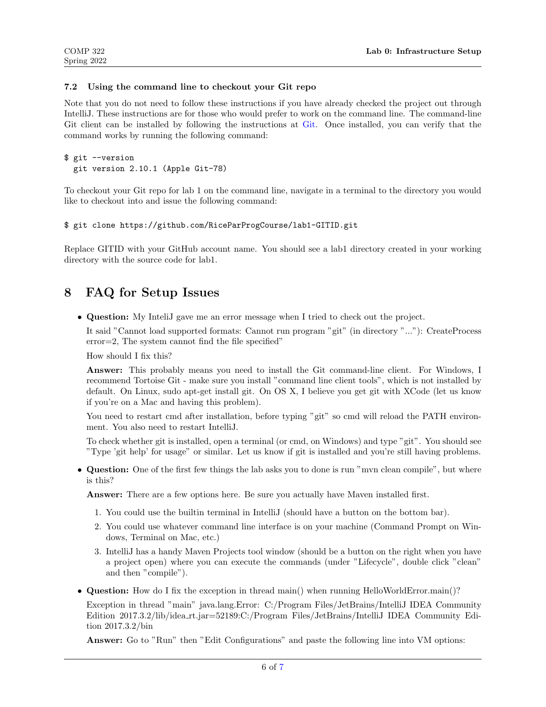#### 7.2 Using the command line to checkout your Git repo

Note that you do not need to follow these instructions if you have already checked the project out through IntelliJ. These instructions are for those who would prefer to work on the command line. The command-line Git client can be installed by following the instructions at [Git.](https://git-scm.com/download/) Once installed, you can verify that the command works by running the following command:

```
$ git --version
  git version 2.10.1 (Apple Git-78)
```
To checkout your Git repo for lab 1 on the command line, navigate in a terminal to the directory you would like to checkout into and issue the following command:

```
$ git clone https://github.com/RiceParProgCourse/lab1-GITID.git
```
Replace GITID with your GitHub account name. You should see a lab1 directory created in your working directory with the source code for lab1.

#### 8 FAQ for Setup Issues

• Question: My InteliJ gave me an error message when I tried to check out the project.

It said "Cannot load supported formats: Cannot run program "git" (in directory "..."): CreateProcess error=2, The system cannot find the file specified"

How should I fix this?

Answer: This probably means you need to install the Git command-line client. For Windows, I recommend Tortoise Git - make sure you install "command line client tools", which is not installed by default. On Linux, sudo apt-get install git. On OS X, I believe you get git with XCode (let us know if you're on a Mac and having this problem).

You need to restart cmd after installation, before typing "git" so cmd will reload the PATH environment. You also need to restart IntelliJ.

To check whether git is installed, open a terminal (or cmd, on Windows) and type "git". You should see "Type 'git help' for usage" or similar. Let us know if git is installed and you're still having problems.

• Question: One of the first few things the lab asks you to done is run "mvn clean compile", but where is this?

Answer: There are a few options here. Be sure you actually have Maven installed first.

- 1. You could use the builtin terminal in IntelliJ (should have a button on the bottom bar).
- 2. You could use whatever command line interface is on your machine (Command Prompt on Windows, Terminal on Mac, etc.)
- 3. IntelliJ has a handy Maven Projects tool window (should be a button on the right when you have a project open) where you can execute the commands (under "Lifecycle", double click "clean" and then "compile").
- Question: How do I fix the exception in thread main() when running HelloWorldError.main()?

Exception in thread "main" java.lang.Error: C:/Program Files/JetBrains/IntelliJ IDEA Community Edition 2017.3.2/lib/idea rt.jar=52189:C:/Program Files/JetBrains/IntelliJ IDEA Community Edition 2017.3.2/bin

Answer: Go to "Run" then "Edit Configurations" and paste the following line into VM options: